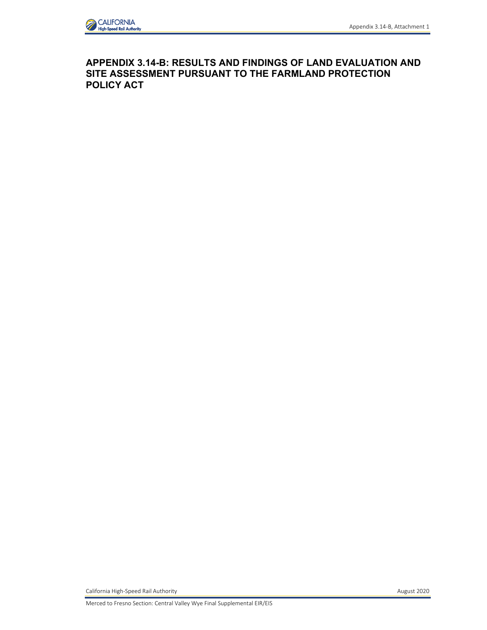

# **APPENDIX 3.14-B: RESULTS AND FINDINGS OF LAND EVALUATION AND SITE ASSESSMENT PURSUANT TO THE FARMLAND PROTECTION POLICY ACT**

California High-Speed Rail Authority **August 2020** 

Merced to Fresno Section: Central Valley Wye Final Supplemental EIR/EIS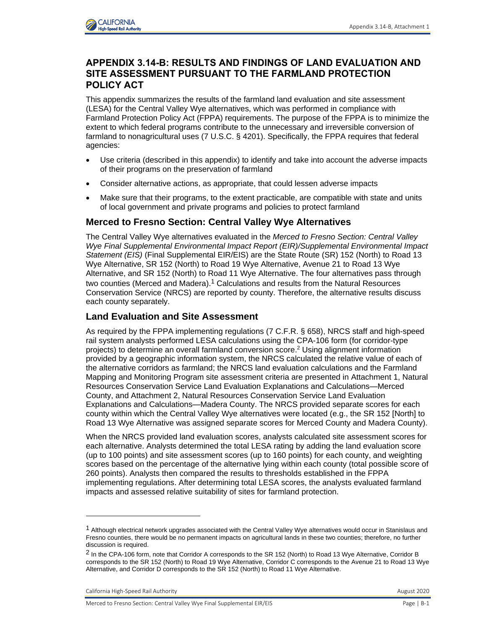

## **APPENDIX 3.14-B: RESULTS AND FINDINGS OF LAND EVALUATION AND SITE ASSESSMENT PURSUANT TO THE FARMLAND PROTECTION POLICY ACT**

This appendix summarizes the results of the farmland land evaluation and site assessment (LESA) for the Central Valley Wye alternatives, which was performed in compliance with Farmland Protection Policy Act (FPPA) requirements. The purpose of the FPPA is to minimize the extent to which federal programs contribute to the unnecessary and irreversible conversion of farmland to nonagricultural uses (7 U.S.C. § 4201). Specifically, the FPPA requires that federal agencies:

- Use criteria (described in this appendix) to identify and take into account the adverse impacts of their programs on the preservation of farmland
- Consider alternative actions, as appropriate, that could lessen adverse impacts
- Make sure that their programs, to the extent practicable, are compatible with state and units of local government and private programs and policies to protect farmland

### **Merced to Fresno Section: Central Valley Wye Alternatives**

The Central Valley Wye alternatives evaluated in the *Merced to Fresno Section: Central Valley Wye Final Supplemental Environmental Impact Report (EIR)/Supplemental Environmental Impact Statement (EIS)* (Final Supplemental EIR/EIS) are the State Route (SR) 152 (North) to Road 13 Wye Alternative, SR 152 (North) to Road 19 Wye Alternative, Avenue 21 to Road 13 Wye Alternative, and SR 152 (North) to Road 11 Wye Alternative. The four alternatives pass through two counties (Merced and Madera).<sup>1</sup> Calculations and results from the Natural Resources Conservation Service (NRCS) are reported by county. Therefore, the alternative results discuss each county separately.

### **Land Evaluation and Site Assessment**

As required by the FPPA implementing regulations (7 C.F.R. § 658), NRCS staff and high-speed rail system analysts performed LESA calculations using the CPA-106 form (for corridor-type projects) to determine an overall farmland conversion score.<sup>2</sup> Using alignment information provided by a geographic information system, the NRCS calculated the relative value of each of the alternative corridors as farmland; the NRCS land evaluation calculations and the Farmland Mapping and Monitoring Program site assessment criteria are presented in Attachment 1, Natural Resources Conservation Service Land Evaluation Explanations and Calculations—Merced County, and Attachment 2, Natural Resources Conservation Service Land Evaluation Explanations and Calculations—Madera County. The NRCS provided separate scores for each county within which the Central Valley Wye alternatives were located (e.g., the SR 152 [North] to Road 13 Wye Alternative was assigned separate scores for Merced County and Madera County).

When the NRCS provided land evaluation scores, analysts calculated site assessment scores for each alternative. Analysts determined the total LESA rating by adding the land evaluation score (up to 100 points) and site assessment scores (up to 160 points) for each county, and weighting scores based on the percentage of the alternative lying within each county (total possible score of 260 points). Analysts then compared the results to thresholds established in the FPPA implementing regulations. After determining total LESA scores, the analysts evaluated farmland impacts and assessed relative suitability of sites for farmland protection.

California High-Speed Rail Authority **August 2020 August 2020** 

 $1$  Although electrical network upgrades associated with the Central Valley Wye alternatives would occur in Stanislaus and Fresno counties, there would be no permanent impacts on agricultural lands in these two counties; therefore, no further discussion is required.

<sup>&</sup>lt;sup>2</sup> In the CPA-106 form, note that Corridor A corresponds to the SR 152 (North) to Road 13 Wye Alternative, Corridor B corresponds to the SR 152 (North) to Road 19 Wye Alternative, Corridor C corresponds to the Avenue 21 to Road 13 Wye Alternative, and Corridor D corresponds to the SR 152 (North) to Road 11 Wye Alternative.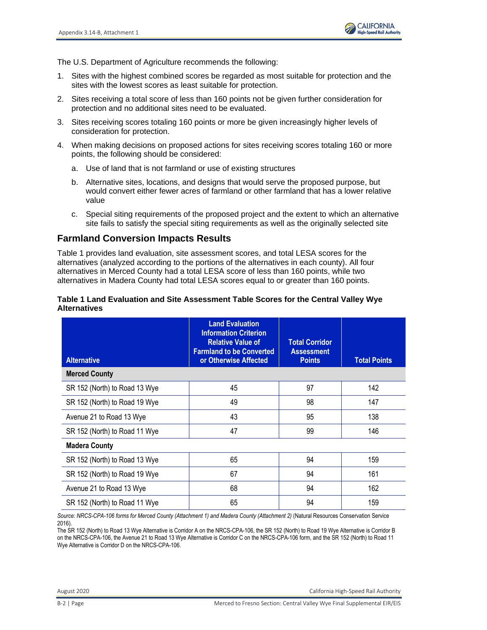

The U.S. Department of Agriculture recommends the following:

- 1. Sites with the highest combined scores be regarded as most suitable for protection and the sites with the lowest scores as least suitable for protection.
- 2. Sites receiving a total score of less than 160 points not be given further consideration for protection and no additional sites need to be evaluated.
- 3. Sites receiving scores totaling 160 points or more be given increasingly higher levels of consideration for protection.
- 4. When making decisions on proposed actions for sites receiving scores totaling 160 or more points, the following should be considered:
	- a. Use of land that is not farmland or use of existing structures
	- b. Alternative sites, locations, and designs that would serve the proposed purpose, but would convert either fewer acres of farmland or other farmland that has a lower relative value
	- c. Special siting requirements of the proposed project and the extent to which an alternative site fails to satisfy the special siting requirements as well as the originally selected site

## **Farmland Conversion Impacts Results**

Table 1 provides land evaluation, site assessment scores, and total LESA scores for the alternatives (analyzed according to the portions of the alternatives in each county). All four alternatives in Merced County had a total LESA score of less than 160 points, while two alternatives in Madera County had total LESA scores equal to or greater than 160 points.

#### **Table 1 Land Evaluation and Site Assessment Table Scores for the Central Valley Wye Alternatives**

| <b>Alternative</b>            | <b>Land Evaluation</b><br><b>Information Criterion</b><br><b>Relative Value of</b><br><b>Farmland to be Converted</b><br>or Otherwise Affected | <b>Total Corridor</b><br><b>Assessment</b><br><b>Points</b> | <b>Total Points</b> |  |
|-------------------------------|------------------------------------------------------------------------------------------------------------------------------------------------|-------------------------------------------------------------|---------------------|--|
| <b>Merced County</b>          |                                                                                                                                                |                                                             |                     |  |
| SR 152 (North) to Road 13 Wye | 45                                                                                                                                             | 97                                                          | 142                 |  |
| SR 152 (North) to Road 19 Wye | 49                                                                                                                                             | 98                                                          | 147                 |  |
| Avenue 21 to Road 13 Wye      | 43                                                                                                                                             | 95                                                          | 138                 |  |
| SR 152 (North) to Road 11 Wye | 47                                                                                                                                             | 99                                                          | 146                 |  |
| <b>Madera County</b>          |                                                                                                                                                |                                                             |                     |  |
| SR 152 (North) to Road 13 Wye | 65                                                                                                                                             | 94                                                          | 159                 |  |
| SR 152 (North) to Road 19 Wye | 67                                                                                                                                             | 94                                                          | 161                 |  |
| Avenue 21 to Road 13 Wye      | 68                                                                                                                                             | 94                                                          | 162                 |  |
| SR 152 (North) to Road 11 Wye | 65                                                                                                                                             | 94                                                          | 159                 |  |

*Source: NRCS-CPA-106 forms for Merced County (Attachment 1) and Madera County (Attachment 2)* (Natural Resources Conservation Service 2016).

The SR 152 (North) to Road 13 Wye Alternative is Corridor A on the NRCS-CPA-106, the SR 152 (North) to Road 19 Wye Alternative is Corridor B on the NRCS-CPA-106, the Avenue 21 to Road 13 Wye Alternative is Corridor C on the NRCS-CPA-106 form, and the SR 152 (North) to Road 11 Wye Alternative is Corridor D on the NRCS-CPA-106.

August 2020 California High-Speed Rail Authority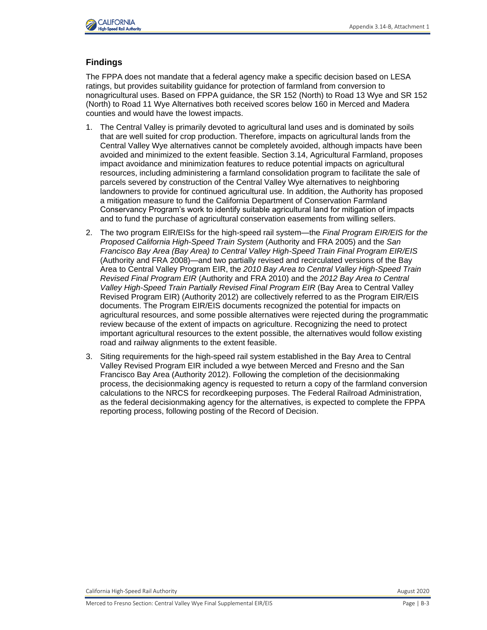

#### **Findings**

The FPPA does not mandate that a federal agency make a specific decision based on LESA ratings, but provides suitability guidance for protection of farmland from conversion to nonagricultural uses. Based on FPPA guidance, the SR 152 (North) to Road 13 Wye and SR 152 (North) to Road 11 Wye Alternatives both received scores below 160 in Merced and Madera counties and would have the lowest impacts.

- 1. The Central Valley is primarily devoted to agricultural land uses and is dominated by soils that are well suited for crop production. Therefore, impacts on agricultural lands from the Central Valley Wye alternatives cannot be completely avoided, although impacts have been avoided and minimized to the extent feasible. Section 3.14, Agricultural Farmland, proposes impact avoidance and minimization features to reduce potential impacts on agricultural resources, including administering a farmland consolidation program to facilitate the sale of parcels severed by construction of the Central Valley Wye alternatives to neighboring landowners to provide for continued agricultural use. In addition, the Authority has proposed a mitigation measure to fund the California Department of Conservation Farmland Conservancy Program's work to identify suitable agricultural land for mitigation of impacts and to fund the purchase of agricultural conservation easements from willing sellers.
- 2. The two program EIR/EISs for the high-speed rail system—the *Final Program EIR/EIS for the Proposed California High-Speed Train System* (Authority and FRA 2005) and the *San Francisco Bay Area (Bay Area) to Central Valley High-Speed Train Final Program EIR/EIS* (Authority and FRA 2008)—and two partially revised and recirculated versions of the Bay Area to Central Valley Program EIR, the *2010 Bay Area to Central Valley High-Speed Train Revised Final Program EIR* (Authority and FRA 2010) and the *2012 Bay Area to Central Valley High-Speed Train Partially Revised Final Program EIR* (Bay Area to Central Valley Revised Program EIR) (Authority 2012) are collectively referred to as the Program EIR/EIS documents. The Program EIR/EIS documents recognized the potential for impacts on agricultural resources, and some possible alternatives were rejected during the programmatic review because of the extent of impacts on agriculture. Recognizing the need to protect important agricultural resources to the extent possible, the alternatives would follow existing road and railway alignments to the extent feasible.
- 3. Siting requirements for the high-speed rail system established in the Bay Area to Central Valley Revised Program EIR included a wye between Merced and Fresno and the San Francisco Bay Area (Authority 2012). Following the completion of the decisionmaking process, the decisionmaking agency is requested to return a copy of the farmland conversion calculations to the NRCS for recordkeeping purposes. The Federal Railroad Administration, as the federal decisionmaking agency for the alternatives, is expected to complete the FPPA reporting process, following posting of the Record of Decision.

California High-Speed Rail Authority **August 2020** California High-Speed Rail Authority